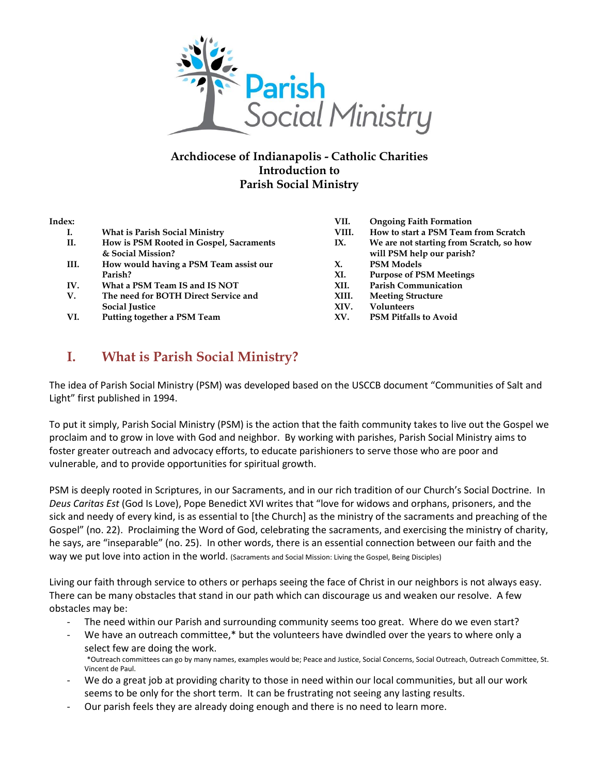

### **Archdiocese of Indianapolis - Catholic Charities Introduction to Parish Social Ministry**

#### **Index:**

- **I. What is Parish Social Ministry**
- **II. How is PSM Rooted in Gospel, Sacraments & Social Mission? III. How would having a PSM Team assist our Parish?**
- **IV. What a PSM Team IS and IS NOT**
- **V. The need for BOTH Direct Service and Social Justice**
- **VI. Putting together a PSM Team**
- **VII. Ongoing Faith Formation**
- **VIII. How to start a PSM Team from Scratch**
- **IX. We are not starting from Scratch, so how will PSM help our parish?**
- **X. PSM Models**
- **XI. Purpose of PSM Meetings**
- **XII. Parish Communication**
- **XIII. Meeting Structure**
- **XIV. Volunteers**
- **XV. PSM Pitfalls to Avoid**

# **I. What is Parish Social Ministry?**

The idea of Parish Social Ministry (PSM) was developed based on the USCCB document "Communities of Salt and Light" first published in 1994.

To put it simply, Parish Social Ministry (PSM) is the action that the faith community takes to live out the Gospel we proclaim and to grow in love with God and neighbor. By working with parishes, Parish Social Ministry aims to foster greater outreach and advocacy efforts, to educate parishioners to serve those who are poor and vulnerable, and to provide opportunities for spiritual growth.

PSM is deeply rooted in Scriptures, in our Sacraments, and in our rich tradition of our Church's Social Doctrine. In *Deus Caritas Est* (God Is Love), Pope Benedict XVI writes that "love for widows and orphans, prisoners, and the sick and needy of every kind, is as essential to [the Church] as the ministry of the sacraments and preaching of the Gospel" (no. 22). Proclaiming the Word of God, celebrating the sacraments, and exercising the ministry of charity, he says, are "inseparable" (no. 25). In other words, there is an essential connection between our faith and the way we put love into action in the world. (Sacraments and Social Mission: Living the Gospel, Being Disciples)

Living our faith through service to others or perhaps seeing the face of Christ in our neighbors is not always easy. There can be many obstacles that stand in our path which can discourage us and weaken our resolve. A few obstacles may be:

- The need within our Parish and surrounding community seems too great. Where do we even start?
- We have an outreach committee,\* but the volunteers have dwindled over the years to where only a select few are doing the work. \*Outreach committees can go by many names, examples would be; Peace and Justice, Social Concerns, Social Outreach, Outreach Committee, St.
- Vincent de Paul. We do a great job at providing charity to those in need within our local communities, but all our work
- seems to be only for the short term. It can be frustrating not seeing any lasting results.
- Our parish feels they are already doing enough and there is no need to learn more.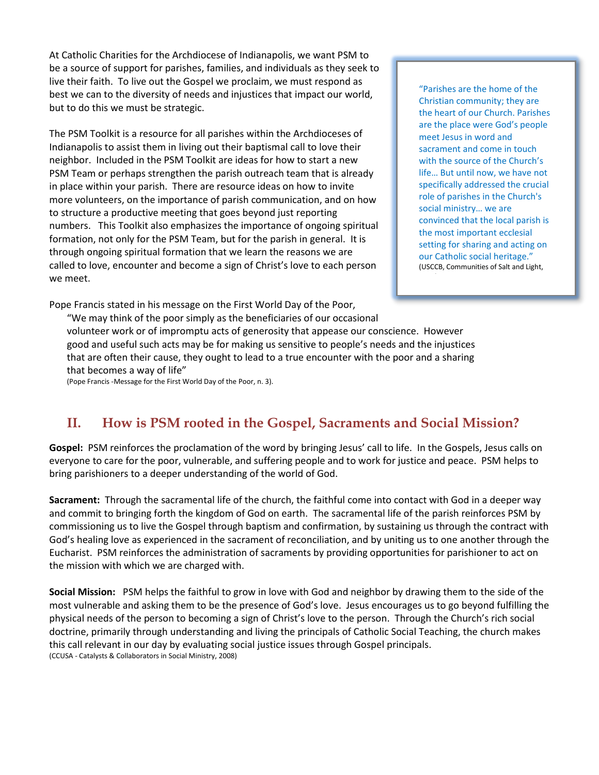At Catholic Charities for the Archdiocese of Indianapolis, we want PSM to be a source of support for parishes, families, and individuals as they seek to live their faith. To live out the Gospel we proclaim, we must respond as best we can to the diversity of needs and injustices that impact our world, but to do this we must be strategic.

The PSM Toolkit is a resource for all parishes within the Archdioceses of Indianapolis to assist them in living out their baptismal call to love their neighbor. Included in the PSM Toolkit are ideas for how to start a new PSM Team or perhaps strengthen the parish outreach team that is already in place within your parish. There are resource ideas on how to invite more volunteers, on the importance of parish communication, and on how to structure a productive meeting that goes beyond just reporting numbers. This Toolkit also emphasizes the importance of ongoing spiritual formation, not only for the PSM Team, but for the parish in general. It is through ongoing spiritual formation that we learn the reasons we are called to love, encounter and become a sign of Christ's love to each person we meet.

"Parishes are the home of the Christian community; they are the heart of our Church. Parishes are the place were God's people meet Jesus in word and sacrament and come in touch with the source of the Church's life… But until now, we have not specifically addressed the crucial role of parishes in the Church's social ministry… we are convinced that the local parish is the most important ecclesial setting for sharing and acting on our Catholic social heritage." (USCCB, Communities of Salt and Light,

Pope Francis stated in his message on the First World Day of the Poor,

"We may think of the poor simply as the beneficiaries of our occasional volunteer work or of impromptu acts of generosity that appease our conscience. However good and useful such acts may be for making us sensitive to people's needs and the injustices that are often their cause, they ought to lead to a true encounter with the poor and a sharing that becomes a way of life"

(Pope Francis -Message for the First World Day of the Poor, n. 3).

## **II. How is PSM rooted in the Gospel, Sacraments and Social Mission?**

**Gospel:** PSM reinforces the proclamation of the word by bringing Jesus' call to life. In the Gospels, Jesus calls on everyone to care for the poor, vulnerable, and suffering people and to work for justice and peace. PSM helps to bring parishioners to a deeper understanding of the world of God.

**Sacrament:** Through the sacramental life of the church, the faithful come into contact with God in a deeper way and commit to bringing forth the kingdom of God on earth. The sacramental life of the parish reinforces PSM by commissioning us to live the Gospel through baptism and confirmation, by sustaining us through the contract with God's healing love as experienced in the sacrament of reconciliation, and by uniting us to one another through the Eucharist. PSM reinforces the administration of sacraments by providing opportunities for parishioner to act on the mission with which we are charged with.

**Social Mission:** PSM helps the faithful to grow in love with God and neighbor by drawing them to the side of the most vulnerable and asking them to be the presence of God's love. Jesus encourages us to go beyond fulfilling the physical needs of the person to becoming a sign of Christ's love to the person. Through the Church's rich social doctrine, primarily through understanding and living the principals of Catholic Social Teaching, the church makes this call relevant in our day by evaluating social justice issues through Gospel principals. (CCUSA - Catalysts & Collaborators in Social Ministry, 2008)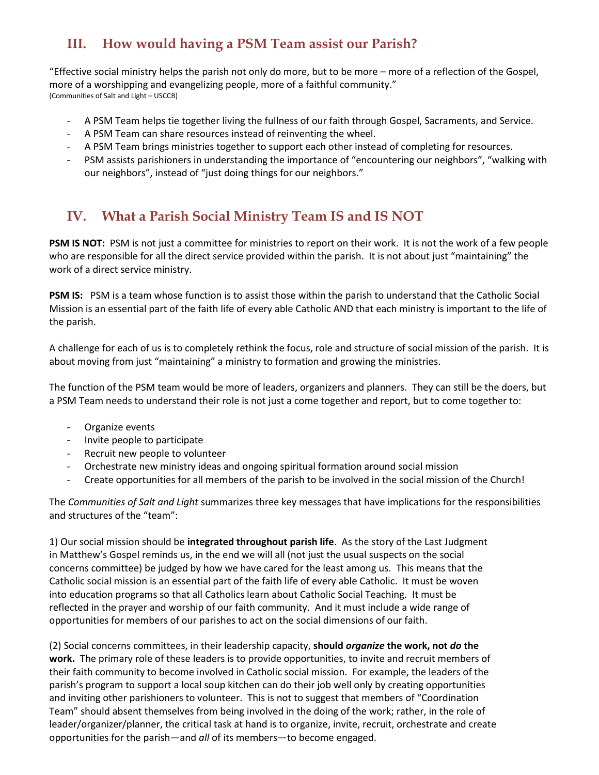# **III. How would having a PSM Team assist our Parish?**

"Effective social ministry helps the parish not only do more, but to be more – more of a reflection of the Gospel, more of a worshipping and evangelizing people, more of a faithful community." (Communities of Salt and Light – USCCB)

- A PSM Team helps tie together living the fullness of our faith through Gospel, Sacraments, and Service.
- A PSM Team can share resources instead of reinventing the wheel.
- A PSM Team brings ministries together to support each other instead of completing for resources.
- PSM assists parishioners in understanding the importance of "encountering our neighbors", "walking with our neighbors", instead of "just doing things for our neighbors."

# **IV. What a Parish Social Ministry Team IS and IS NOT**

**PSM IS NOT:** PSM is not just a committee for ministries to report on their work. It is not the work of a few people who are responsible for all the direct service provided within the parish. It is not about just "maintaining" the work of a direct service ministry.

**PSM IS:** PSM is a team whose function is to assist those within the parish to understand that the Catholic Social Mission is an essential part of the faith life of every able Catholic AND that each ministry is important to the life of the parish.

A challenge for each of us is to completely rethink the focus, role and structure of social mission of the parish. It is about moving from just "maintaining" a ministry to formation and growing the ministries.

The function of the PSM team would be more of leaders, organizers and planners. They can still be the doers, but a PSM Team needs to understand their role is not just a come together and report, but to come together to:

- Organize events
- Invite people to participate
- Recruit new people to volunteer
- Orchestrate new ministry ideas and ongoing spiritual formation around social mission
- Create opportunities for all members of the parish to be involved in the social mission of the Church!

The *Communities of Salt and Light* summarizes three key messages that have implications for the responsibilities and structures of the "team":

1) Our social mission should be **integrated throughout parish life**. As the story of the Last Judgment in Matthew's Gospel reminds us, in the end we will all (not just the usual suspects on the social concerns committee) be judged by how we have cared for the least among us. This means that the Catholic social mission is an essential part of the faith life of every able Catholic. It must be woven into education programs so that all Catholics learn about Catholic Social Teaching. It must be reflected in the prayer and worship of our faith community. And it must include a wide range of opportunities for members of our parishes to act on the social dimensions of our faith.

(2) Social concerns committees, in their leadership capacity, **should** *organize* **the work, not** *do* **the work.** The primary role of these leaders is to provide opportunities, to invite and recruit members of their faith community to become involved in Catholic social mission. For example, the leaders of the parish's program to support a local soup kitchen can do their job well only by creating opportunities and inviting other parishioners to volunteer. This is not to suggest that members of "Coordination Team" should absent themselves from being involved in the doing of the work; rather, in the role of leader/organizer/planner, the critical task at hand is to organize, invite, recruit, orchestrate and create opportunities for the parish—and *all* of its members—to become engaged.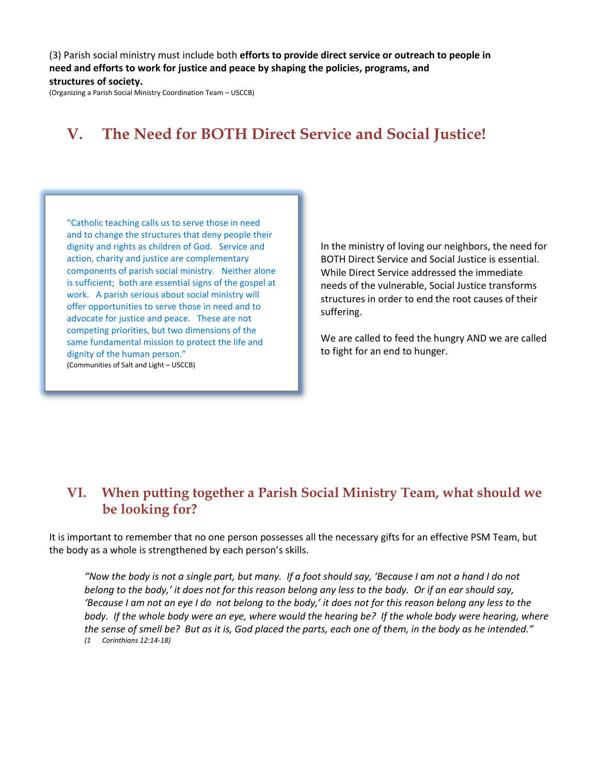(3) Parish social ministry must include both **efforts to provide direct service or outreach to people in need and efforts to work for justice and peace by shaping the policies, programs, and structures of society.**

(Organizing a Parish Social Ministry Coordination Team – USCCB)

# **V. The Need for BOTH Direct Service and Social Justice!**

"Catholic teaching calls us to serve those in need and to change the structures that deny people their dignity and rights as children of God. Service and action, charity and justice are complementary components of parish social ministry. Neither alone is sufficient; both are essential signs of the gospel at work. A parish serious about social ministry will offer opportunities to serve those in need and to advocate for justice and peace. These are not competing priorities, but two dimensions of the same fundamental mission to protect the life and dignity of the human person." (Communities of Salt and Light – USCCB)

In the ministry of loving our neighbors, the need for BOTH Direct Service and Social Justice is essential. While Direct Service addressed the immediate needs of the vulnerable, Social Justice transforms structures in order to end the root causes of their suffering.

We are called to feed the hungry AND we are called to fight for an end to hunger.

### **VI. When putting together a Parish Social Ministry Team, what should we be looking for?**

It is important to remember that no one person possesses all the necessary gifts for an effective PSM Team, but the body as a whole is strengthened by each person's skills.

*"Now the body is not a single part, but many.* If a foot should say, 'Because I am not a hand I do not *belong to the body,' it does not for this reason belong any less to the body. Or if an ear should say, 'Because I am not an eye I do not belong to the body,' it does not for this reason belong any less to the body. If the whole body were an eye, where would the hearing be? If the whole body were hearing, where the sense of smell be? But as it is, God placed the parts, each one of them, in the body as he intended." (1 Corinthians 12:14-18)*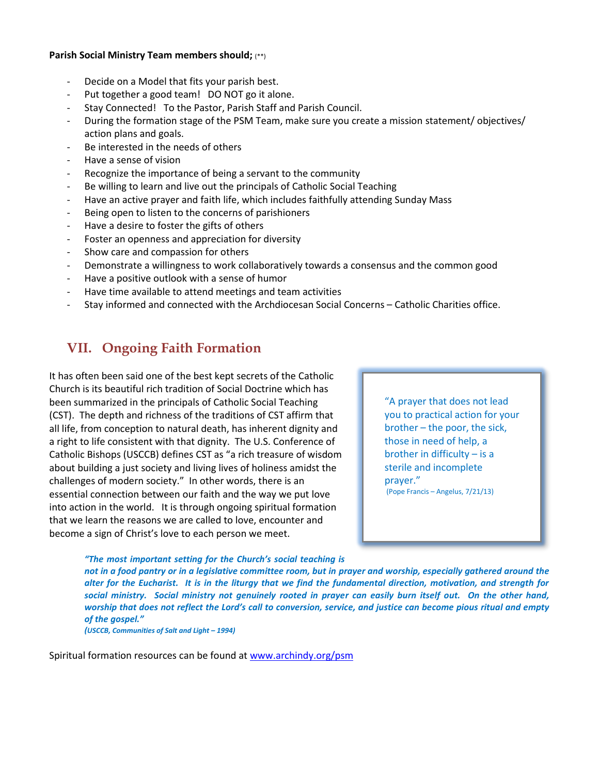#### **Parish Social Ministry Team members should;** (\*\*)

- Decide on a Model that fits your parish best.
- Put together a good team! DO NOT go it alone.
- Stay Connected! To the Pastor, Parish Staff and Parish Council.
- During the formation stage of the PSM Team, make sure you create a mission statement/objectives/ action plans and goals.
- Be interested in the needs of others
- Have a sense of vision
- Recognize the importance of being a servant to the community
- Be willing to learn and live out the principals of Catholic Social Teaching
- Have an active prayer and faith life, which includes faithfully attending Sunday Mass
- Being open to listen to the concerns of parishioners
- Have a desire to foster the gifts of others
- Foster an openness and appreciation for diversity
- Show care and compassion for others
- Demonstrate a willingness to work collaboratively towards a consensus and the common good
- Have a positive outlook with a sense of humor
- Have time available to attend meetings and team activities
- Stay informed and connected with the Archdiocesan Social Concerns Catholic Charities office.

## **VII. Ongoing Faith Formation**

It has often been said one of the best kept secrets of the Catholic Church is its beautiful rich tradition of Social Doctrine which has been summarized in the principals of Catholic Social Teaching (CST). The depth and richness of the traditions of CST affirm that all life, from conception to natural death, has inherent dignity and a right to life consistent with that dignity. The U.S. Conference of Catholic Bishops (USCCB) defines CST as "a rich treasure of wisdom about building a just society and living lives of holiness amidst the challenges of modern society." In other words, there is an essential connection between our faith and the way we put love into action in the world. It is through ongoing spiritual formation that we learn the reasons we are called to love, encounter and become a sign of Christ's love to each person we meet.

"A prayer that does not lead you to practical action for your brother – the poor, the sick, those in need of help, a brother in difficulty  $-$  is a sterile and incomplete prayer." (Pope Francis – Angelus, 7/21/13)

*"The most important setting for the Church's social teaching is* 

*not in a food pantry or in a legislative committee room, but in prayer and worship, especially gathered around the alter for the Eucharist. It is in the liturgy that we find the fundamental direction, motivation, and strength for social ministry. Social ministry not genuinely rooted in prayer can easily burn itself out. On the other hand, worship that does not reflect the Lord's call to conversion, service, and justice can become pious ritual and empty of the gospel."*

*(USCCB, Communities of Salt and Light – 1994)*

Spiritual formation resources can be found at [www.archindy.org/psm](http://www.archindy.org/psm)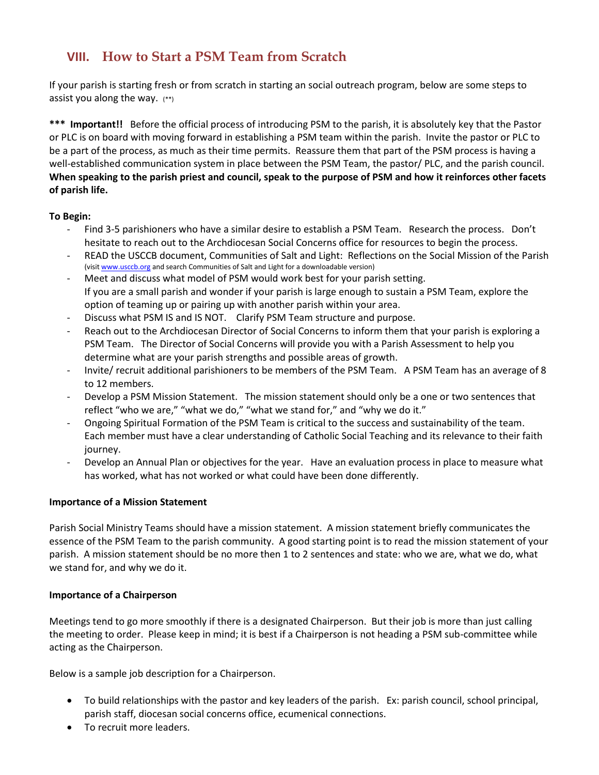### **VIII. How to Start a PSM Team from Scratch**

If your parish is starting fresh or from scratch in starting an social outreach program, below are some steps to assist you along the way.  $(**)$ 

**\*\*\* Important!!** Before the official process of introducing PSM to the parish, it is absolutely key that the Pastor or PLC is on board with moving forward in establishing a PSM team within the parish. Invite the pastor or PLC to be a part of the process, as much as their time permits. Reassure them that part of the PSM process is having a well-established communication system in place between the PSM Team, the pastor/ PLC, and the parish council. **When speaking to the parish priest and council, speak to the purpose of PSM and how it reinforces other facets of parish life.** 

### **To Begin:**

- Find 3-5 parishioners who have a similar desire to establish a PSM Team. Research the process. Don't hesitate to reach out to the Archdiocesan Social Concerns office for resources to begin the process.
- READ the USCCB document, Communities of Salt and Light: Reflections on the Social Mission of the Parish (visi[t www.usccb.org](http://www.usccb.org/) and search Communities of Salt and Light for a downloadable version)
- Meet and discuss what model of PSM would work best for your parish setting. If you are a small parish and wonder if your parish is large enough to sustain a PSM Team, explore the option of teaming up or pairing up with another parish within your area.
- Discuss what PSM IS and IS NOT. Clarify PSM Team structure and purpose.
- Reach out to the Archdiocesan Director of Social Concerns to inform them that your parish is exploring a PSM Team. The Director of Social Concerns will provide you with a Parish Assessment to help you determine what are your parish strengths and possible areas of growth.
- Invite/ recruit additional parishioners to be members of the PSM Team. A PSM Team has an average of 8 to 12 members.
- Develop a PSM Mission Statement. The mission statement should only be a one or two sentences that reflect "who we are," "what we do," "what we stand for," and "why we do it."
- Ongoing Spiritual Formation of the PSM Team is critical to the success and sustainability of the team. Each member must have a clear understanding of Catholic Social Teaching and its relevance to their faith journey.
- Develop an Annual Plan or objectives for the year. Have an evaluation process in place to measure what has worked, what has not worked or what could have been done differently.

### **Importance of a Mission Statement**

Parish Social Ministry Teams should have a mission statement. A mission statement briefly communicates the essence of the PSM Team to the parish community. A good starting point is to read the mission statement of your parish. A mission statement should be no more then 1 to 2 sentences and state: who we are, what we do, what we stand for, and why we do it.

### **Importance of a Chairperson**

Meetings tend to go more smoothly if there is a designated Chairperson. But their job is more than just calling the meeting to order. Please keep in mind; it is best if a Chairperson is not heading a PSM sub-committee while acting as the Chairperson.

Below is a sample job description for a Chairperson.

- To build relationships with the pastor and key leaders of the parish. Ex: parish council, school principal, parish staff, diocesan social concerns office, ecumenical connections.
- To recruit more leaders.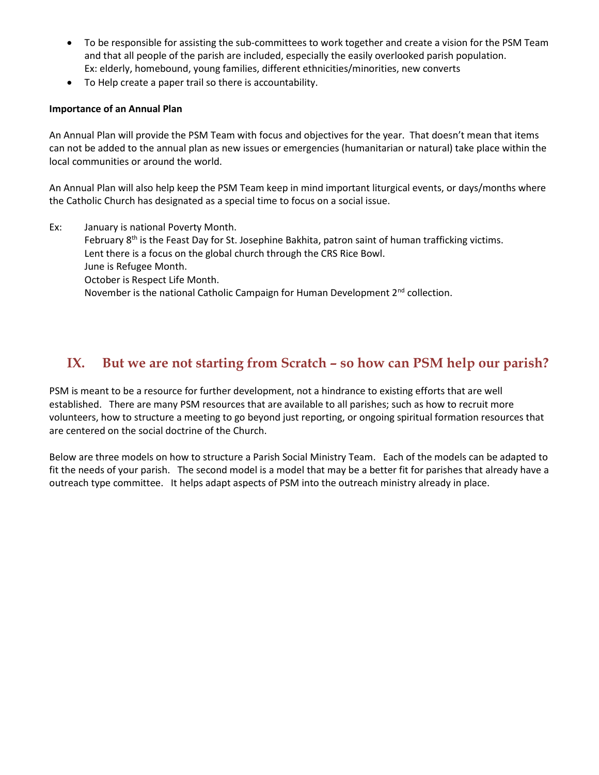- To be responsible for assisting the sub-committees to work together and create a vision for the PSM Team and that all people of the parish are included, especially the easily overlooked parish population. Ex: elderly, homebound, young families, different ethnicities/minorities, new converts
- To Help create a paper trail so there is accountability.

### **Importance of an Annual Plan**

An Annual Plan will provide the PSM Team with focus and objectives for the year. That doesn't mean that items can not be added to the annual plan as new issues or emergencies (humanitarian or natural) take place within the local communities or around the world.

An Annual Plan will also help keep the PSM Team keep in mind important liturgical events, or days/months where the Catholic Church has designated as a special time to focus on a social issue.

Ex: January is national Poverty Month. February 8<sup>th</sup> is the Feast Day for St. Josephine Bakhita, patron saint of human trafficking victims. Lent there is a focus on the global church through the CRS Rice Bowl. June is Refugee Month. October is Respect Life Month. November is the national Catholic Campaign for Human Development 2<sup>nd</sup> collection.

### **IX. But we are not starting from Scratch – so how can PSM help our parish?**

PSM is meant to be a resource for further development, not a hindrance to existing efforts that are well established. There are many PSM resources that are available to all parishes; such as how to recruit more volunteers, how to structure a meeting to go beyond just reporting, or ongoing spiritual formation resources that are centered on the social doctrine of the Church.

Below are three models on how to structure a Parish Social Ministry Team. Each of the models can be adapted to fit the needs of your parish. The second model is a model that may be a better fit for parishes that already have a outreach type committee. It helps adapt aspects of PSM into the outreach ministry already in place.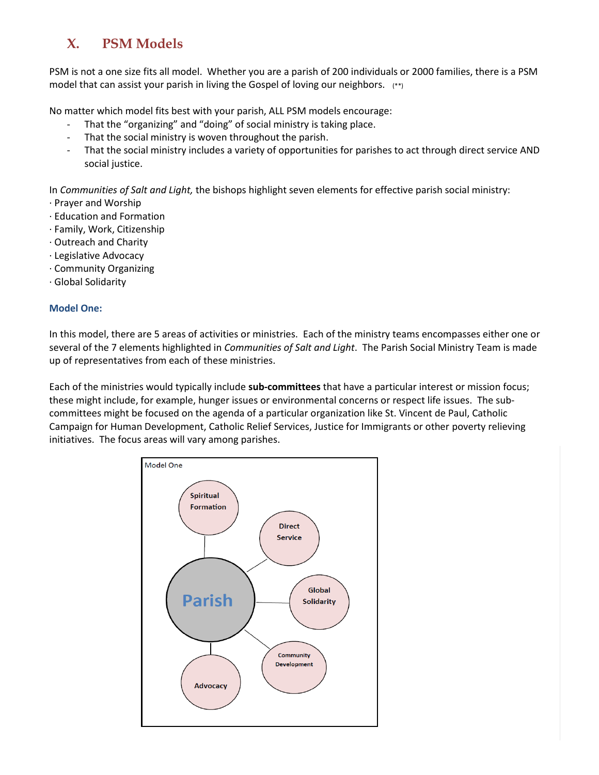# **X. PSM Models**

PSM is not a one size fits all model. Whether you are a parish of 200 individuals or 2000 families, there is a PSM model that can assist your parish in living the Gospel of loving our neighbors. (\*\*)

No matter which model fits best with your parish, ALL PSM models encourage:

- That the "organizing" and "doing" of social ministry is taking place.
- That the social ministry is woven throughout the parish.
- That the social ministry includes a variety of opportunities for parishes to act through direct service AND social justice.

In *Communities of Salt and Light,* the bishops highlight seven elements for effective parish social ministry:

- · Prayer and Worship
- · Education and Formation
- · Family, Work, Citizenship
- · Outreach and Charity
- · Legislative Advocacy
- · Community Organizing
- · Global Solidarity

### **Model One:**

In this model, there are 5 areas of activities or ministries. Each of the ministry teams encompasses either one or several of the 7 elements highlighted in *Communities of Salt and Light*. The Parish Social Ministry Team is made up of representatives from each of these ministries.

Each of the ministries would typically include **sub-committees** that have a particular interest or mission focus; these might include, for example, hunger issues or environmental concerns or respect life issues. The subcommittees might be focused on the agenda of a particular organization like St. Vincent de Paul, Catholic Campaign for Human Development, Catholic Relief Services, Justice for Immigrants or other poverty relieving initiatives. The focus areas will vary among parishes.

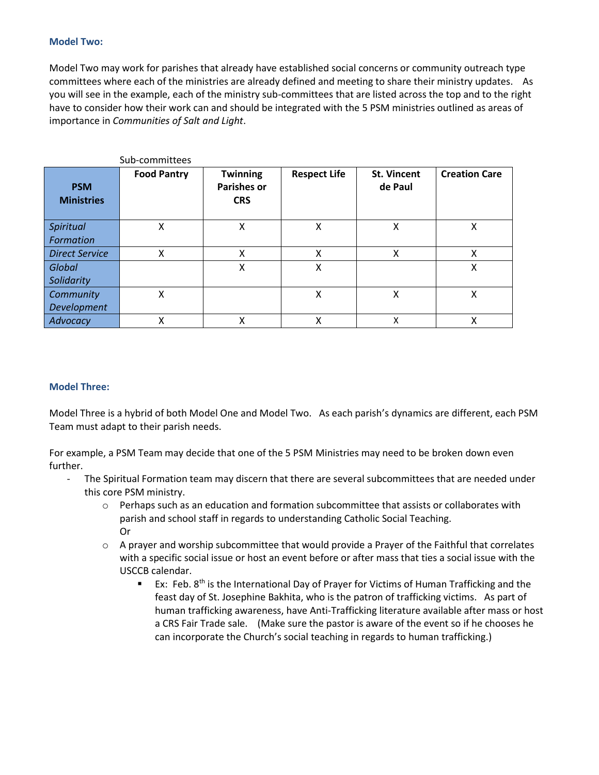#### **Model Two:**

Model Two may work for parishes that already have established social concerns or community outreach type committees where each of the ministries are already defined and meeting to share their ministry updates. As you will see in the example, each of the ministry sub-committees that are listed across the top and to the right have to consider how their work can and should be integrated with the 5 PSM ministries outlined as areas of importance in *Communities of Salt and Light*.

|                                 | Sub-committees     |                                                     |                     |                               |                      |
|---------------------------------|--------------------|-----------------------------------------------------|---------------------|-------------------------------|----------------------|
| <b>PSM</b><br><b>Ministries</b> | <b>Food Pantry</b> | <b>Twinning</b><br><b>Parishes or</b><br><b>CRS</b> | <b>Respect Life</b> | <b>St. Vincent</b><br>de Paul | <b>Creation Care</b> |
| Spiritual<br>Formation          | X                  | Χ                                                   | X                   | Χ                             | Χ                    |
| <b>Direct Service</b>           | Χ                  | Χ                                                   | Χ                   | Χ                             | Χ                    |
| <b>Global</b><br>Solidarity     |                    | X                                                   | X                   |                               | χ                    |
| Community<br>Development        | X                  |                                                     | Χ                   | Χ                             | х                    |
| Advocacy                        | χ                  | χ                                                   | Χ                   | X                             | х                    |

#### **Model Three:**

Model Three is a hybrid of both Model One and Model Two. As each parish's dynamics are different, each PSM Team must adapt to their parish needs.

For example, a PSM Team may decide that one of the 5 PSM Ministries may need to be broken down even further.

- The Spiritual Formation team may discern that there are several subcommittees that are needed under this core PSM ministry.
	- o Perhaps such as an education and formation subcommittee that assists or collaborates with parish and school staff in regards to understanding Catholic Social Teaching. Or
	- $\circ$  A prayer and worship subcommittee that would provide a Prayer of the Faithful that correlates with a specific social issue or host an event before or after mass that ties a social issue with the USCCB calendar.
		- **EX:** Feb. 8<sup>th</sup> is the International Day of Prayer for Victims of Human Trafficking and the feast day of St. Josephine Bakhita, who is the patron of trafficking victims. As part of human trafficking awareness, have Anti-Trafficking literature available after mass or host a CRS Fair Trade sale. (Make sure the pastor is aware of the event so if he chooses he can incorporate the Church's social teaching in regards to human trafficking.)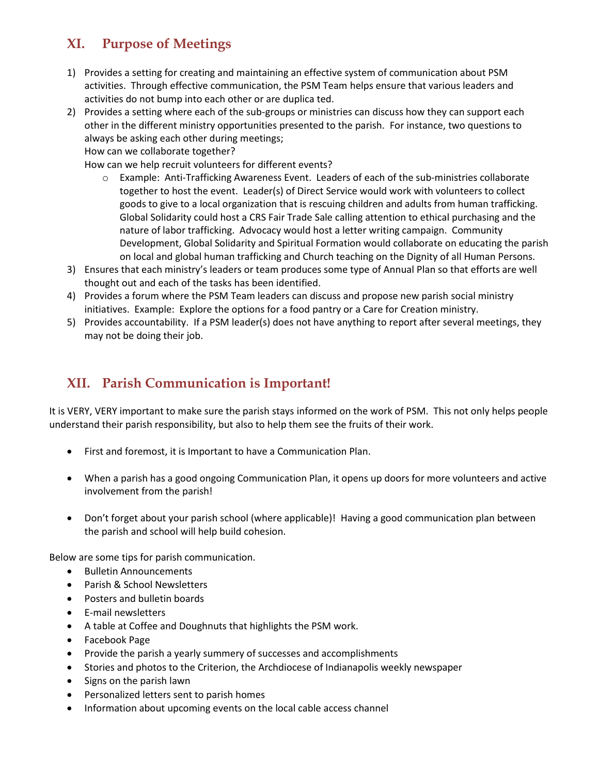# **XI. Purpose of Meetings**

- 1) Provides a setting for creating and maintaining an effective system of communication about PSM activities. Through effective communication, the PSM Team helps ensure that various leaders and activities do not bump into each other or are duplica ted.
- 2) Provides a setting where each of the sub-groups or ministries can discuss how they can support each other in the different ministry opportunities presented to the parish. For instance, two questions to always be asking each other during meetings;

How can we collaborate together?

How can we help recruit volunteers for different events?

- o Example: Anti-Trafficking Awareness Event. Leaders of each of the sub-ministries collaborate together to host the event. Leader(s) of Direct Service would work with volunteers to collect goods to give to a local organization that is rescuing children and adults from human trafficking. Global Solidarity could host a CRS Fair Trade Sale calling attention to ethical purchasing and the nature of labor trafficking. Advocacy would host a letter writing campaign. Community Development, Global Solidarity and Spiritual Formation would collaborate on educating the parish on local and global human trafficking and Church teaching on the Dignity of all Human Persons.
- 3) Ensures that each ministry's leaders or team produces some type of Annual Plan so that efforts are well thought out and each of the tasks has been identified.
- 4) Provides a forum where the PSM Team leaders can discuss and propose new parish social ministry initiatives. Example: Explore the options for a food pantry or a Care for Creation ministry.
- 5) Provides accountability. If a PSM leader(s) does not have anything to report after several meetings, they may not be doing their job.

# **XII. Parish Communication is Important!**

It is VERY, VERY important to make sure the parish stays informed on the work of PSM. This not only helps people understand their parish responsibility, but also to help them see the fruits of their work.

- First and foremost, it is Important to have a Communication Plan.
- When a parish has a good ongoing Communication Plan, it opens up doors for more volunteers and active involvement from the parish!
- Don't forget about your parish school (where applicable)! Having a good communication plan between the parish and school will help build cohesion.

Below are some tips for parish communication.

- Bulletin Announcements
- Parish & School Newsletters
- Posters and bulletin boards
- E-mail newsletters
- A table at Coffee and Doughnuts that highlights the PSM work.
- Facebook Page
- Provide the parish a yearly summery of successes and accomplishments
- Stories and photos to the Criterion, the Archdiocese of Indianapolis weekly newspaper
- Signs on the parish lawn
- Personalized letters sent to parish homes
- Information about upcoming events on the local cable access channel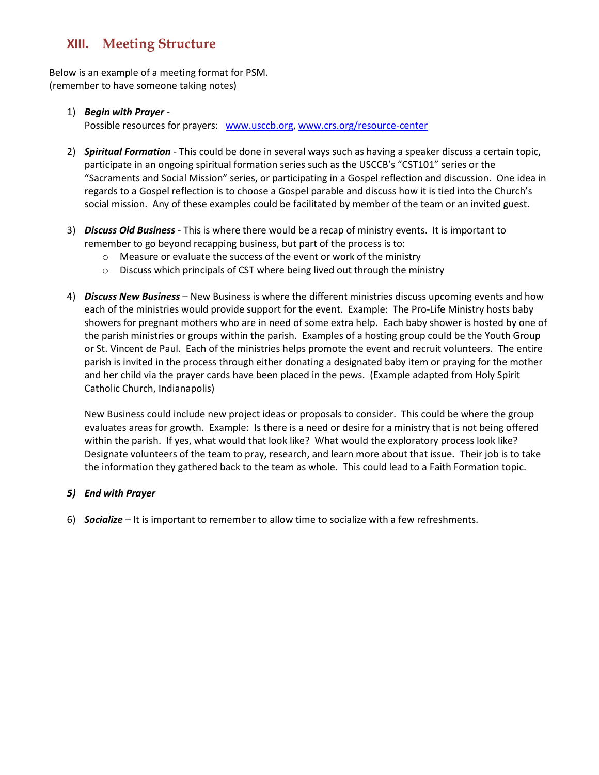### **XIII. Meeting Structure**

Below is an example of a meeting format for PSM. (remember to have someone taking notes)

### 1) *Begin with Prayer* -

Possible resources for prayers: [www.usccb.org,](http://www.usccb.org/) [www.crs.org/resource-center](http://www.crs.org/resource-center)

- 2) *Spiritual Formation* This could be done in several ways such as having a speaker discuss a certain topic, participate in an ongoing spiritual formation series such as the USCCB's "CST101" series or the "Sacraments and Social Mission" series, or participating in a Gospel reflection and discussion. One idea in regards to a Gospel reflection is to choose a Gospel parable and discuss how it is tied into the Church's social mission. Any of these examples could be facilitated by member of the team or an invited guest.
- 3) *Discuss Old Business*  This is where there would be a recap of ministry events. It is important to remember to go beyond recapping business, but part of the process is to:
	- o Measure or evaluate the success of the event or work of the ministry
	- o Discuss which principals of CST where being lived out through the ministry
- 4) *Discuss New Business* New Business is where the different ministries discuss upcoming events and how each of the ministries would provide support for the event. Example: The Pro-Life Ministry hosts baby showers for pregnant mothers who are in need of some extra help. Each baby shower is hosted by one of the parish ministries or groups within the parish. Examples of a hosting group could be the Youth Group or St. Vincent de Paul. Each of the ministries helps promote the event and recruit volunteers. The entire parish is invited in the process through either donating a designated baby item or praying for the mother and her child via the prayer cards have been placed in the pews. (Example adapted from Holy Spirit Catholic Church, Indianapolis)

New Business could include new project ideas or proposals to consider. This could be where the group evaluates areas for growth. Example: Is there is a need or desire for a ministry that is not being offered within the parish. If yes, what would that look like? What would the exploratory process look like? Designate volunteers of the team to pray, research, and learn more about that issue. Their job is to take the information they gathered back to the team as whole. This could lead to a Faith Formation topic.

### *5) End with Prayer*

6) *Socialize* – It is important to remember to allow time to socialize with a few refreshments.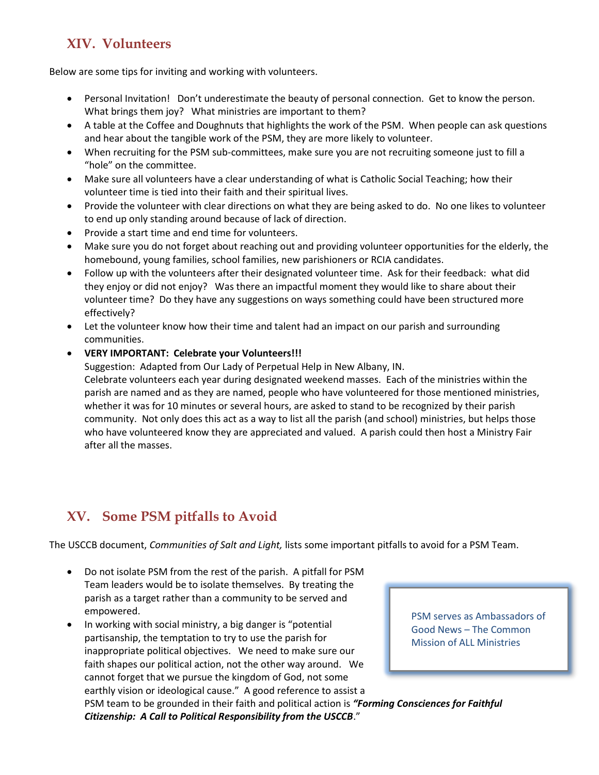## **XIV. Volunteers**

Below are some tips for inviting and working with volunteers.

- Personal Invitation! Don't underestimate the beauty of personal connection. Get to know the person. What brings them joy? What ministries are important to them?
- A table at the Coffee and Doughnuts that highlights the work of the PSM. When people can ask questions and hear about the tangible work of the PSM, they are more likely to volunteer.
- When recruiting for the PSM sub-committees, make sure you are not recruiting someone just to fill a "hole" on the committee.
- Make sure all volunteers have a clear understanding of what is Catholic Social Teaching; how their volunteer time is tied into their faith and their spiritual lives.
- Provide the volunteer with clear directions on what they are being asked to do. No one likes to volunteer to end up only standing around because of lack of direction.
- Provide a start time and end time for volunteers.
- Make sure you do not forget about reaching out and providing volunteer opportunities for the elderly, the homebound, young families, school families, new parishioners or RCIA candidates.
- Follow up with the volunteers after their designated volunteer time. Ask for their feedback: what did they enjoy or did not enjoy? Was there an impactful moment they would like to share about their volunteer time? Do they have any suggestions on ways something could have been structured more effectively?
- Let the volunteer know how their time and talent had an impact on our parish and surrounding communities.
- **VERY IMPORTANT: Celebrate your Volunteers!!!**

Suggestion: Adapted from Our Lady of Perpetual Help in New Albany, IN. Celebrate volunteers each year during designated weekend masses. Each of the ministries within the parish are named and as they are named, people who have volunteered for those mentioned ministries, whether it was for 10 minutes or several hours, are asked to stand to be recognized by their parish community. Not only does this act as a way to list all the parish (and school) ministries, but helps those who have volunteered know they are appreciated and valued. A parish could then host a Ministry Fair after all the masses.

# **XV. Some PSM pitfalls to Avoid**

The USCCB document, *Communities of Salt and Light,* lists some important pitfalls to avoid for a PSM Team.

- Do not isolate PSM from the rest of the parish. A pitfall for PSM Team leaders would be to isolate themselves. By treating the parish as a target rather than a community to be served and empowered.
- In working with social ministry, a big danger is "potential partisanship, the temptation to try to use the parish for inappropriate political objectives. We need to make sure our faith shapes our political action, not the other way around. We cannot forget that we pursue the kingdom of God, not some earthly vision or ideological cause." A good reference to assist a PSM team to be grounded in their faith and political action is *"Forming Consciences for Faithful Citizenship: A Call to Political Responsibility from the USCCB*."

PSM serves as Ambassadors of Good News – The Common Mission of ALL Ministries